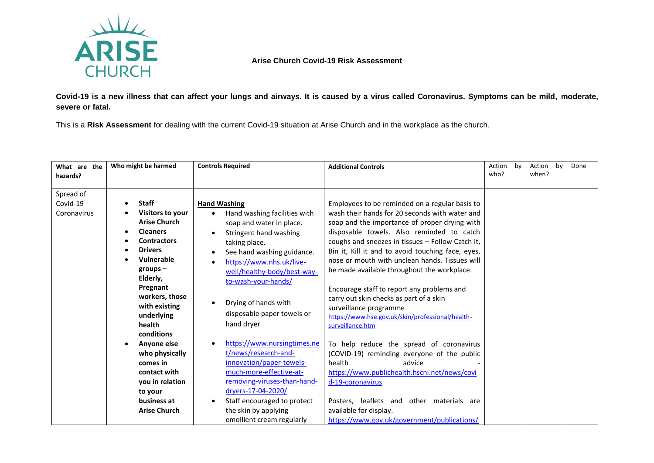

## **Arise Church Covid-19 Risk Assessment**

**Covid-19 is a new illness that can affect your lungs and airways. It is caused by a virus called Coronavirus. Symptoms can be mild, moderate, severe or fatal.**

This is a **Risk Assessment** for dealing with the current Covid-19 situation at Arise Church and in the workplace as the church.

| What are the<br>hazards?             | Who might be harmed                                                                                                                                                                                                                                                                                                                                                              | <b>Controls Required</b>                                                                                                                                                                                                                                                                                                                                                                                                                                                                                                                                              | <b>Additional Controls</b>                                                                                                                                                                                                                                                                                                                                                                                                                                                                                                                                                                                                                                                                                                                                                                                                                                                                                   | Action<br>who? | by | Action<br>when? | by | Done |
|--------------------------------------|----------------------------------------------------------------------------------------------------------------------------------------------------------------------------------------------------------------------------------------------------------------------------------------------------------------------------------------------------------------------------------|-----------------------------------------------------------------------------------------------------------------------------------------------------------------------------------------------------------------------------------------------------------------------------------------------------------------------------------------------------------------------------------------------------------------------------------------------------------------------------------------------------------------------------------------------------------------------|--------------------------------------------------------------------------------------------------------------------------------------------------------------------------------------------------------------------------------------------------------------------------------------------------------------------------------------------------------------------------------------------------------------------------------------------------------------------------------------------------------------------------------------------------------------------------------------------------------------------------------------------------------------------------------------------------------------------------------------------------------------------------------------------------------------------------------------------------------------------------------------------------------------|----------------|----|-----------------|----|------|
| Spread of<br>Covid-19<br>Coronavirus | <b>Staff</b><br>Visitors to your<br><b>Arise Church</b><br><b>Cleaners</b><br><b>Contractors</b><br><b>Drivers</b><br>Vulnerable<br>$groups -$<br>Elderly,<br>Pregnant<br>workers, those<br>with existing<br>underlying<br>health<br>conditions<br>Anyone else<br>who physically<br>comes in<br>contact with<br>you in relation<br>to your<br>business at<br><b>Arise Church</b> | <b>Hand Washing</b><br>Hand washing facilities with<br>soap and water in place.<br>Stringent hand washing<br>taking place.<br>See hand washing guidance.<br>https://www.nhs.uk/live-<br>well/healthy-body/best-way-<br>to-wash-your-hands/<br>Drying of hands with<br>disposable paper towels or<br>hand dryer<br>https://www.nursingtimes.ne<br>t/news/research-and-<br>innovation/paper-towels-<br>much-more-effective-at-<br>removing-viruses-than-hand-<br>dryers-17-04-2020/<br>Staff encouraged to protect<br>the skin by applying<br>emollient cream regularly | Employees to be reminded on a regular basis to<br>wash their hands for 20 seconds with water and<br>soap and the importance of proper drying with<br>disposable towels. Also reminded to catch<br>coughs and sneezes in tissues - Follow Catch it,<br>Bin it, Kill it and to avoid touching face, eyes,<br>nose or mouth with unclean hands. Tissues will<br>be made available throughout the workplace.<br>Encourage staff to report any problems and<br>carry out skin checks as part of a skin<br>surveillance programme<br>https://www.hse.gov.uk/skin/professional/health-<br>surveillance.htm<br>To help reduce the spread of coronavirus<br>(COVID-19) reminding everyone of the public<br>health<br>advice<br>https://www.publichealth.hscni.net/news/covi<br>d-19-coronavirus<br>Posters, leaflets and other materials are<br>available for display.<br>https://www.gov.uk/government/publications/ |                |    |                 |    |      |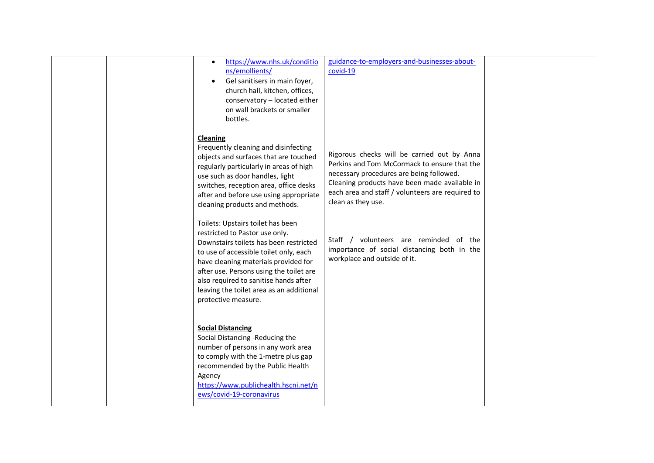|  | https://www.nhs.uk/conditio<br>$\bullet$<br>ns/emollients/<br>Gel sanitisers in main foyer,<br>$\bullet$<br>church hall, kitchen, offices,<br>conservatory - located either<br>on wall brackets or smaller<br>bottles.                                                                                                                                 | guidance-to-employers-and-businesses-about-<br>covid-19                                                                                                                                                                                                            |  |  |
|--|--------------------------------------------------------------------------------------------------------------------------------------------------------------------------------------------------------------------------------------------------------------------------------------------------------------------------------------------------------|--------------------------------------------------------------------------------------------------------------------------------------------------------------------------------------------------------------------------------------------------------------------|--|--|
|  | Cleaning<br>Frequently cleaning and disinfecting<br>objects and surfaces that are touched<br>regularly particularly in areas of high<br>use such as door handles, light<br>switches, reception area, office desks<br>after and before use using appropriate<br>cleaning products and methods.                                                          | Rigorous checks will be carried out by Anna<br>Perkins and Tom McCormack to ensure that the<br>necessary procedures are being followed.<br>Cleaning products have been made available in<br>each area and staff / volunteers are required to<br>clean as they use. |  |  |
|  | Toilets: Upstairs toilet has been<br>restricted to Pastor use only.<br>Downstairs toilets has been restricted<br>to use of accessible toilet only, each<br>have cleaning materials provided for<br>after use. Persons using the toilet are<br>also required to sanitise hands after<br>leaving the toilet area as an additional<br>protective measure. | Staff / volunteers are reminded of the<br>importance of social distancing both in the<br>workplace and outside of it.                                                                                                                                              |  |  |
|  | <b>Social Distancing</b><br>Social Distancing -Reducing the<br>number of persons in any work area<br>to comply with the 1-metre plus gap<br>recommended by the Public Health<br>Agency<br>https://www.publichealth.hscni.net/n<br>ews/covid-19-coronavirus                                                                                             |                                                                                                                                                                                                                                                                    |  |  |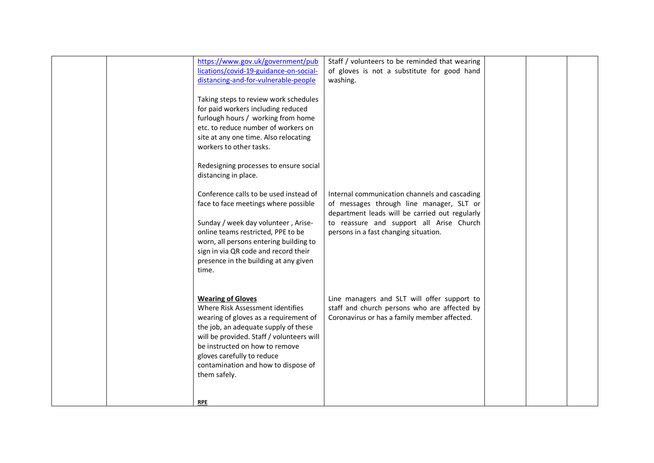|  | https://www.gov.uk/government/pub         | Staff / volunteers to be reminded that wearing |  |  |
|--|-------------------------------------------|------------------------------------------------|--|--|
|  | lications/covid-19-guidance-on-social-    | of gloves is not a substitute for good hand    |  |  |
|  | distancing-and-for-vulnerable-people      | washing.                                       |  |  |
|  |                                           |                                                |  |  |
|  | Taking steps to review work schedules     |                                                |  |  |
|  | for paid workers including reduced        |                                                |  |  |
|  | furlough hours / working from home        |                                                |  |  |
|  | etc. to reduce number of workers on       |                                                |  |  |
|  | site at any one time. Also relocating     |                                                |  |  |
|  | workers to other tasks.                   |                                                |  |  |
|  |                                           |                                                |  |  |
|  | Redesigning processes to ensure social    |                                                |  |  |
|  | distancing in place.                      |                                                |  |  |
|  |                                           |                                                |  |  |
|  | Conference calls to be used instead of    | Internal communication channels and cascading  |  |  |
|  | face to face meetings where possible      | of messages through line manager, SLT or       |  |  |
|  |                                           | department leads will be carried out regularly |  |  |
|  | Sunday / week day volunteer, Arise-       | to reassure and support all Arise Church       |  |  |
|  | online teams restricted, PPE to be        | persons in a fast changing situation.          |  |  |
|  | worn, all persons entering building to    |                                                |  |  |
|  | sign in via QR code and record their      |                                                |  |  |
|  | presence in the building at any given     |                                                |  |  |
|  | time.                                     |                                                |  |  |
|  |                                           |                                                |  |  |
|  |                                           |                                                |  |  |
|  | <b>Wearing of Gloves</b>                  | Line managers and SLT will offer support to    |  |  |
|  | Where Risk Assessment identifies          | staff and church persons who are affected by   |  |  |
|  | wearing of gloves as a requirement of     | Coronavirus or has a family member affected.   |  |  |
|  |                                           |                                                |  |  |
|  | the job, an adequate supply of these      |                                                |  |  |
|  | will be provided. Staff / volunteers will |                                                |  |  |
|  | be instructed on how to remove            |                                                |  |  |
|  | gloves carefully to reduce                |                                                |  |  |
|  | contamination and how to dispose of       |                                                |  |  |
|  | them safely.                              |                                                |  |  |
|  |                                           |                                                |  |  |
|  |                                           |                                                |  |  |
|  | <b>RPE</b>                                |                                                |  |  |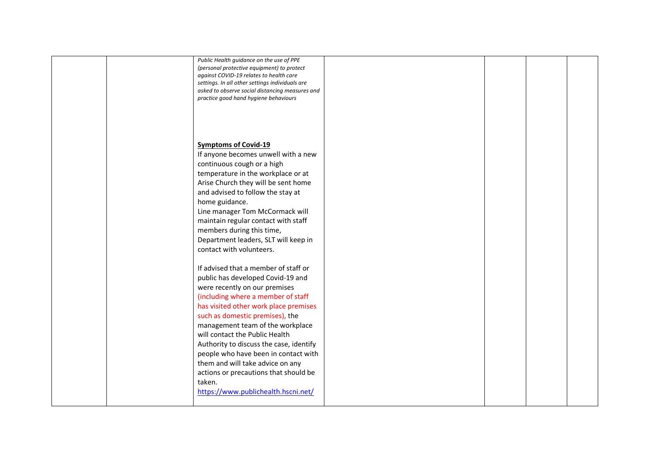|  | Public Health guidance on the use of PPE        |  |  |
|--|-------------------------------------------------|--|--|
|  | (personal protective equipment) to protect      |  |  |
|  | against COVID-19 relates to health care         |  |  |
|  | settings. In all other settings individuals are |  |  |
|  | asked to observe social distancing measures and |  |  |
|  |                                                 |  |  |
|  | practice good hand hygiene behaviours           |  |  |
|  |                                                 |  |  |
|  |                                                 |  |  |
|  |                                                 |  |  |
|  |                                                 |  |  |
|  |                                                 |  |  |
|  |                                                 |  |  |
|  | <b>Symptoms of Covid-19</b>                     |  |  |
|  | If anyone becomes unwell with a new             |  |  |
|  | continuous cough or a high                      |  |  |
|  |                                                 |  |  |
|  | temperature in the workplace or at              |  |  |
|  | Arise Church they will be sent home             |  |  |
|  |                                                 |  |  |
|  | and advised to follow the stay at               |  |  |
|  | home guidance.                                  |  |  |
|  | Line manager Tom McCormack will                 |  |  |
|  |                                                 |  |  |
|  | maintain regular contact with staff             |  |  |
|  | members during this time,                       |  |  |
|  |                                                 |  |  |
|  | Department leaders, SLT will keep in            |  |  |
|  | contact with volunteers.                        |  |  |
|  |                                                 |  |  |
|  |                                                 |  |  |
|  | If advised that a member of staff or            |  |  |
|  | public has developed Covid-19 and               |  |  |
|  | were recently on our premises                   |  |  |
|  |                                                 |  |  |
|  | (including where a member of staff              |  |  |
|  | has visited other work place premises           |  |  |
|  |                                                 |  |  |
|  | such as domestic premises), the                 |  |  |
|  | management team of the workplace                |  |  |
|  | will contact the Public Health                  |  |  |
|  |                                                 |  |  |
|  | Authority to discuss the case, identify         |  |  |
|  | people who have been in contact with            |  |  |
|  |                                                 |  |  |
|  | them and will take advice on any                |  |  |
|  | actions or precautions that should be           |  |  |
|  | taken.                                          |  |  |
|  |                                                 |  |  |
|  | https://www.publichealth.hscni.net/             |  |  |
|  |                                                 |  |  |
|  |                                                 |  |  |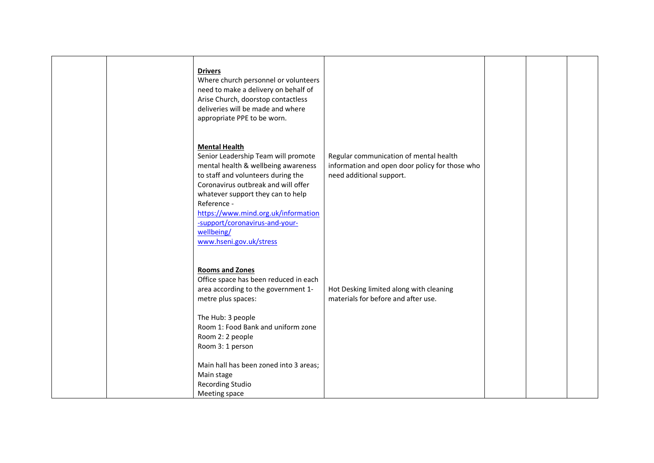|  | <b>Drivers</b><br>Where church personnel or volunteers<br>need to make a delivery on behalf of<br>Arise Church, doorstop contactless<br>deliveries will be made and where<br>appropriate PPE to be worn.                                                                                                                                              |                                                                                                                      |  |  |
|--|-------------------------------------------------------------------------------------------------------------------------------------------------------------------------------------------------------------------------------------------------------------------------------------------------------------------------------------------------------|----------------------------------------------------------------------------------------------------------------------|--|--|
|  | <b>Mental Health</b><br>Senior Leadership Team will promote<br>mental health & wellbeing awareness<br>to staff and volunteers during the<br>Coronavirus outbreak and will offer<br>whatever support they can to help<br>Reference -<br>https://www.mind.org.uk/information<br>-support/coronavirus-and-your-<br>wellbeing/<br>www.hseni.gov.uk/stress | Regular communication of mental health<br>information and open door policy for those who<br>need additional support. |  |  |
|  | <b>Rooms and Zones</b><br>Office space has been reduced in each<br>area according to the government 1-<br>metre plus spaces:<br>The Hub: 3 people<br>Room 1: Food Bank and uniform zone<br>Room 2: 2 people<br>Room 3: 1 person<br>Main hall has been zoned into 3 areas;                                                                             | Hot Desking limited along with cleaning<br>materials for before and after use.                                       |  |  |
|  | Main stage<br>Recording Studio<br>Meeting space                                                                                                                                                                                                                                                                                                       |                                                                                                                      |  |  |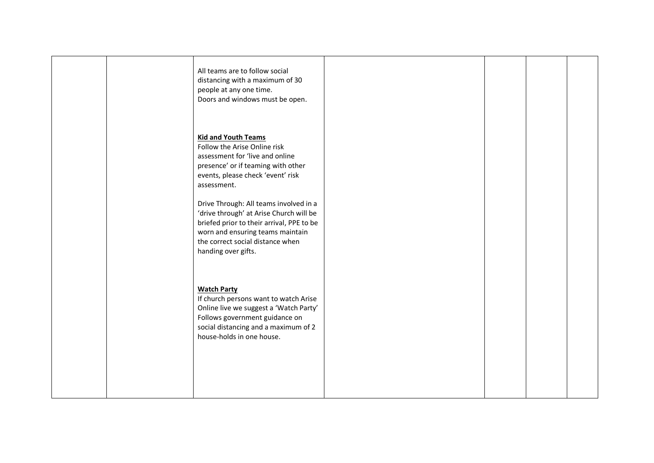|  | All teams are to follow social<br>distancing with a maximum of 30<br>people at any one time.<br>Doors and windows must be open.                                                                                               |  |  |
|--|-------------------------------------------------------------------------------------------------------------------------------------------------------------------------------------------------------------------------------|--|--|
|  | <b>Kid and Youth Teams</b><br>Follow the Arise Online risk<br>assessment for 'live and online<br>presence' or if teaming with other<br>events, please check 'event' risk<br>assessment.                                       |  |  |
|  | Drive Through: All teams involved in a<br>'drive through' at Arise Church will be<br>briefed prior to their arrival, PPE to be<br>worn and ensuring teams maintain<br>the correct social distance when<br>handing over gifts. |  |  |
|  | <b>Watch Party</b><br>If church persons want to watch Arise<br>Online live we suggest a 'Watch Party'<br>Follows government guidance on<br>social distancing and a maximum of 2<br>house-holds in one house.                  |  |  |
|  |                                                                                                                                                                                                                               |  |  |